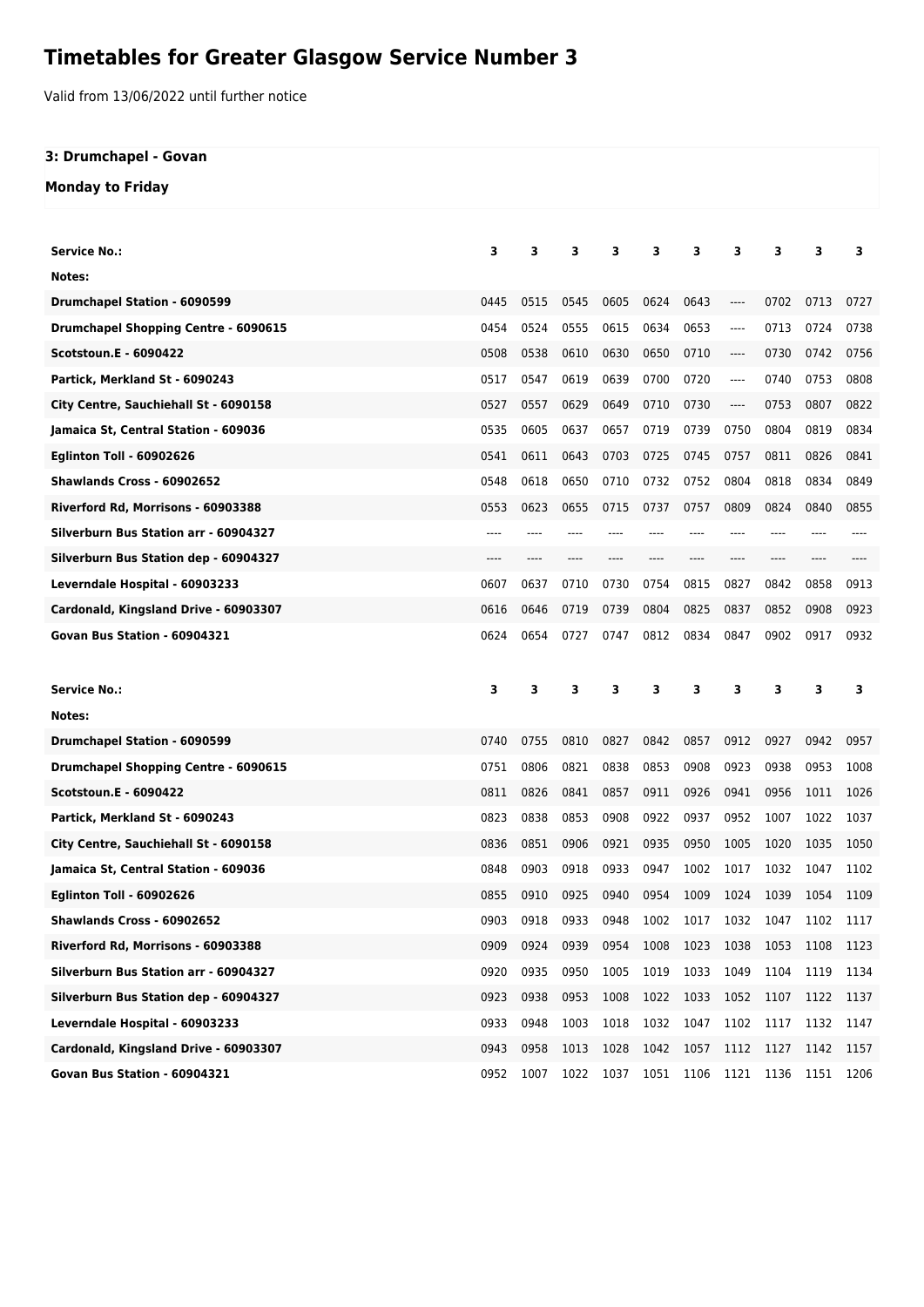## **Timetables for Greater Glasgow Service Number 3**

Valid from 13/06/2022 until further notice

## **3: Drumchapel - Govan**

**Monday to Friday**

| <b>Service No.:</b>                         | з    | 3    | 3    | з    | 3    | 3    | з       | з     | 3    | 3            |
|---------------------------------------------|------|------|------|------|------|------|---------|-------|------|--------------|
| Notes:                                      |      |      |      |      |      |      |         |       |      |              |
| <b>Drumchapel Station - 6090599</b>         | 0445 | 0515 | 0545 | 0605 | 0624 | 0643 | ----    | 0702  | 0713 | 0727         |
| <b>Drumchapel Shopping Centre - 6090615</b> | 0454 | 0524 | 0555 | 0615 | 0634 | 0653 | ----    | 0713  | 0724 | 0738         |
| <b>Scotstoun.E - 6090422</b>                | 0508 | 0538 | 0610 | 0630 | 0650 | 0710 | ----    | 0730  | 0742 | 0756         |
| Partick, Merkland St - 6090243              | 0517 | 0547 | 0619 | 0639 | 0700 | 0720 | $-----$ | 0740  | 0753 | 0808         |
| City Centre, Sauchiehall St - 6090158       | 0527 | 0557 | 0629 | 0649 | 0710 | 0730 | ----    | 0753  | 0807 | 0822         |
| Jamaica St, Central Station - 609036        | 0535 | 0605 | 0637 | 0657 | 0719 | 0739 | 0750    | 0804  | 0819 | 0834         |
| <b>Eglinton Toll - 60902626</b>             | 0541 | 0611 | 0643 | 0703 | 0725 | 0745 | 0757    | 0811  | 0826 | 0841         |
| <b>Shawlands Cross - 60902652</b>           | 0548 | 0618 | 0650 | 0710 | 0732 | 0752 | 0804    | 0818  | 0834 | 0849         |
| Riverford Rd, Morrisons - 60903388          | 0553 | 0623 | 0655 | 0715 | 0737 | 0757 | 0809    | 0824  | 0840 | 0855         |
| Silverburn Bus Station arr - 60904327       | ---- |      |      |      |      |      | ----    |       |      |              |
| Silverburn Bus Station dep - 60904327       | ---- | ---- | ---- | ---- |      | ---- | ----    | $---$ | ---- |              |
| Leverndale Hospital - 60903233              | 0607 | 0637 | 0710 | 0730 | 0754 | 0815 | 0827    | 0842  | 0858 | 0913         |
| Cardonald, Kingsland Drive - 60903307       | 0616 | 0646 | 0719 | 0739 | 0804 | 0825 | 0837    | 0852  | 0908 | 0923         |
| Govan Bus Station - 60904321                | 0624 | 0654 | 0727 | 0747 | 0812 | 0834 | 0847    | 0902  | 0917 | 0932         |
|                                             |      |      |      |      |      |      |         |       |      |              |
|                                             |      |      |      |      |      |      |         |       |      |              |
| Service No.:                                | 3    | 3    | 3    | 3    | 3    | 3    | 3       | з     | 3    | 3            |
| Notes:                                      |      |      |      |      |      |      |         |       |      |              |
| <b>Drumchapel Station - 6090599</b>         | 0740 | 0755 | 0810 | 0827 | 0842 | 0857 | 0912    | 0927  | 0942 | 0957         |
| Drumchapel Shopping Centre - 6090615        | 0751 | 0806 | 0821 | 0838 | 0853 | 0908 | 0923    | 0938  | 0953 | 1008         |
| <b>Scotstoun.E - 6090422</b>                | 0811 | 0826 | 0841 | 0857 | 0911 | 0926 | 0941    | 0956  | 1011 | 1026         |
| Partick, Merkland St - 6090243              | 0823 | 0838 | 0853 | 0908 | 0922 | 0937 | 0952    | 1007  | 1022 | 1037         |
| City Centre, Sauchiehall St - 6090158       | 0836 | 0851 | 0906 | 0921 | 0935 | 0950 | 1005    | 1020  | 1035 | 1050         |
| Jamaica St, Central Station - 609036        | 0848 | 0903 | 0918 | 0933 | 0947 | 1002 | 1017    | 1032  | 1047 | 1102         |
| <b>Eglinton Toll - 60902626</b>             | 0855 | 0910 | 0925 | 0940 | 0954 | 1009 | 1024    | 1039  | 1054 | 1109         |
| <b>Shawlands Cross - 60902652</b>           | 0903 | 0918 | 0933 | 0948 | 1002 | 1017 | 1032    | 1047  | 1102 | 1117         |
| Riverford Rd, Morrisons - 60903388          | 0909 | 0924 | 0939 | 0954 | 1008 | 1023 | 1038    | 1053  | 1108 | 1123         |
| Silverburn Bus Station arr - 60904327       | 0920 | 0935 | 0950 | 1005 | 1019 | 1033 | 1049    | 1104  | 1119 | 1134         |
| Silverburn Bus Station dep - 60904327       | 0923 | 0938 | 0953 | 1008 | 1022 | 1033 | 1052    | 1107  | 1122 |              |
| Leverndale Hospital - 60903233              | 0933 | 0948 | 1003 | 1018 | 1032 | 1047 | 1102    | 1117  | 1132 | 1147         |
| Cardonald, Kingsland Drive - 60903307       | 0943 | 0958 | 1013 | 1028 | 1042 | 1057 | 1112    | 1127  | 1142 | 1137<br>1157 |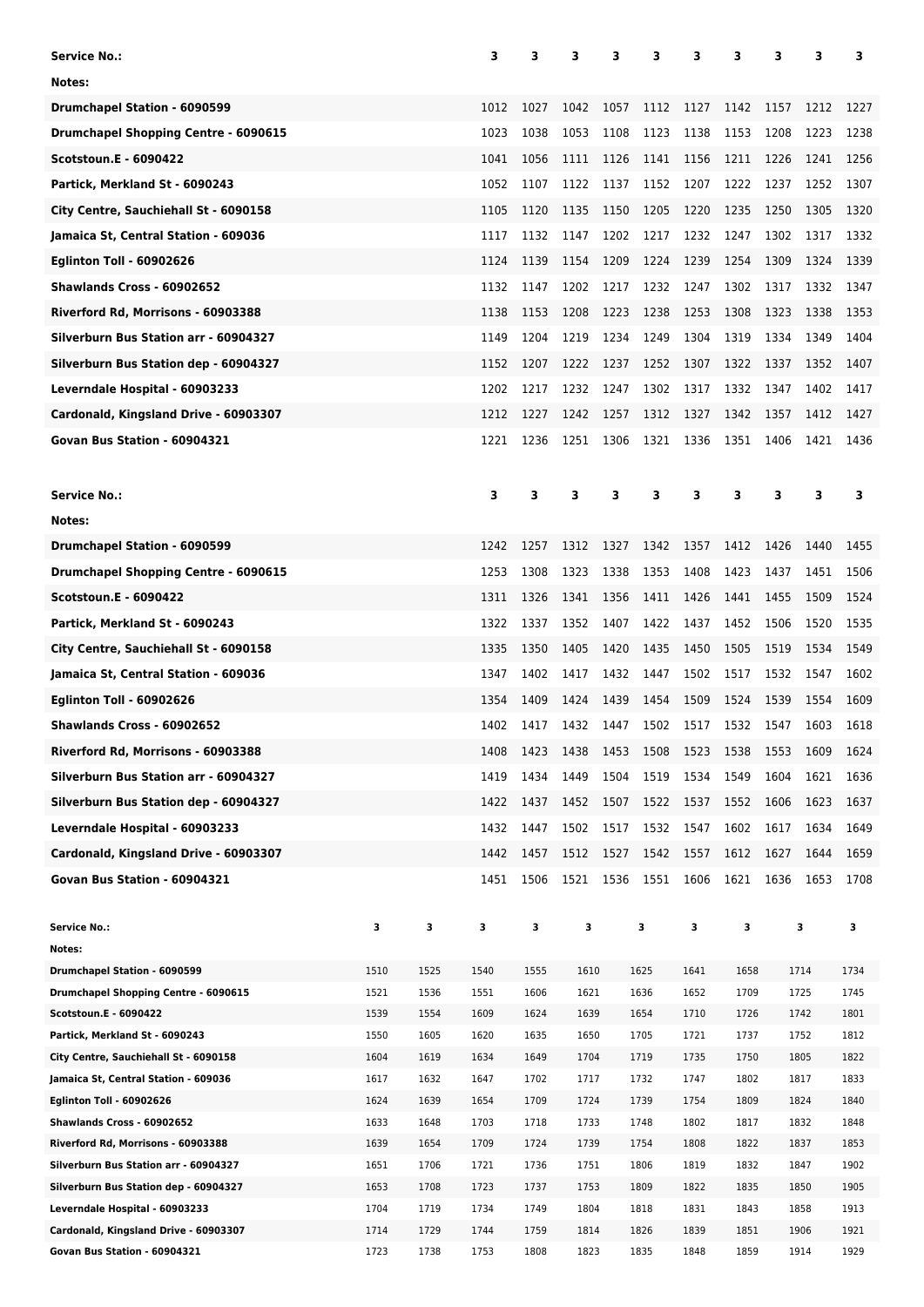| <b>Service No.:</b>                                                   |              |              | 3            | 3            | з            | з    | з            | 3            | з            | 3    | 3            | 3            |
|-----------------------------------------------------------------------|--------------|--------------|--------------|--------------|--------------|------|--------------|--------------|--------------|------|--------------|--------------|
| Notes:                                                                |              |              |              |              |              |      |              |              |              |      |              |              |
| <b>Drumchapel Station - 6090599</b>                                   |              |              | 1012         | 1027         | 1042         | 1057 | 1112         | 1127         | 1142         | 1157 | 1212         | 1227         |
| <b>Drumchapel Shopping Centre - 6090615</b>                           |              |              | 1023         | 1038         | 1053         | 1108 | 1123         | 1138         | 1153         | 1208 | 1223         | 1238         |
|                                                                       |              |              | 1041         |              | 1111         |      |              |              | 1211         |      |              |              |
| <b>Scotstoun.E - 6090422</b>                                          |              |              |              | 1056         |              | 1126 | 1141         | 1156         |              | 1226 | 1241         | 1256         |
| Partick, Merkland St - 6090243                                        |              |              | 1052         | 1107         | 1122         | 1137 | 1152         | 1207         | 1222         | 1237 | 1252         | 1307         |
| City Centre, Sauchiehall St - 6090158                                 |              |              | 1105         | 1120         | 1135         | 1150 | 1205         | 1220         | 1235         | 1250 | 1305         | 1320         |
| Jamaica St, Central Station - 609036                                  |              |              | 1117         | 1132         | 1147         | 1202 | 1217         | 1232         | 1247         | 1302 | 1317         | 1332         |
| <b>Eglinton Toll - 60902626</b>                                       |              |              | 1124         | 1139         | 1154         | 1209 | 1224         | 1239         | 1254         | 1309 | 1324         | 1339         |
| Shawlands Cross - 60902652                                            |              |              | 1132         | 1147         | 1202         | 1217 | 1232         | 1247         | 1302         | 1317 | 1332         | 1347         |
| Riverford Rd, Morrisons - 60903388                                    |              |              | 1138         | 1153         | 1208         | 1223 | 1238         | 1253         | 1308         | 1323 | 1338         | 1353         |
| Silverburn Bus Station arr - 60904327                                 |              |              | 1149         | 1204         | 1219         | 1234 | 1249         | 1304         | 1319         | 1334 | 1349         | 1404         |
| Silverburn Bus Station dep - 60904327                                 |              |              | 1152         | 1207         | 1222         | 1237 | 1252         | 1307         | 1322         | 1337 | 1352         | 1407         |
| Leverndale Hospital - 60903233                                        |              |              | 1202         | 1217         | 1232         | 1247 | 1302         | 1317         | 1332         | 1347 | 1402         | 1417         |
| Cardonald, Kingsland Drive - 60903307                                 |              |              | 1212         | 1227         | 1242         | 1257 | 1312         | 1327         | 1342         | 1357 | 1412         | 1427         |
| Govan Bus Station - 60904321                                          |              |              | 1221         | 1236         | 1251         | 1306 | 1321         | 1336         | 1351         | 1406 | 1421         | 1436         |
|                                                                       |              |              |              |              |              |      |              |              |              |      |              |              |
|                                                                       |              |              |              |              |              |      |              |              |              |      |              |              |
| <b>Service No.:</b>                                                   |              |              | 3            | 3            | 3            | 3    | 3            | 3            | 3            | 3    | 3            | 3            |
| Notes:                                                                |              |              |              |              |              |      |              |              |              |      |              |              |
| Drumchapel Station - 6090599                                          |              |              | 1242         | 1257         | 1312         | 1327 | 1342         | 1357         | 1412         | 1426 | 1440         | 1455         |
| <b>Drumchapel Shopping Centre - 6090615</b>                           |              |              | 1253         | 1308         | 1323         | 1338 | 1353         | 1408         | 1423         | 1437 | 1451         | 1506         |
| <b>Scotstoun.E - 6090422</b>                                          |              |              | 1311         | 1326         | 1341         | 1356 | 1411         | 1426         | 1441         | 1455 | 1509         | 1524         |
| Partick, Merkland St - 6090243                                        |              |              | 1322         | 1337         | 1352         | 1407 | 1422         | 1437         | 1452         | 1506 | 1520         | 1535         |
| City Centre, Sauchiehall St - 6090158                                 |              |              | 1335         | 1350         | 1405         | 1420 | 1435         | 1450         | 1505         | 1519 | 1534         | 1549         |
| Jamaica St, Central Station - 609036                                  |              |              | 1347         | 1402         | 1417         | 1432 | 1447         | 1502         | 1517         | 1532 | 1547         | 1602         |
| <b>Eglinton Toll - 60902626</b>                                       |              |              | 1354         | 1409         | 1424         | 1439 | 1454         | 1509         | 1524         | 1539 | 1554         | 1609         |
| Shawlands Cross - 60902652                                            |              |              | 1402         | 1417         | 1432         | 1447 | 1502         | 1517         | 1532         | 1547 | 1603         | 1618         |
| Riverford Rd, Morrisons - 60903388                                    |              |              | 1408         | 1423         | 1438         | 1453 | 1508         | 1523         | 1538         | 1553 | 1609         | 1624         |
| Silverburn Bus Station arr - 60904327                                 |              |              | 1419         | 1434         | 1449         | 1504 | 1519         | 1534         | 1549         | 1604 | 1621         | 1636         |
|                                                                       |              |              |              |              |              |      |              |              |              | 1606 |              |              |
| Silverburn Bus Station dep - 60904327                                 |              |              | 1422         | 1437         | 1452         | 1507 | 1522         | 1537         | 1552         |      | 1623         | 1637         |
| Leverndale Hospital - 60903233                                        |              |              | 1432         | 1447         | 1502         | 1517 | 1532         | 1547         | 1602         | 1617 | 1634         | 1649         |
| Cardonald, Kingsland Drive - 60903307                                 |              |              | 1442         | 1457         | 1512         | 1527 | 1542         | 1557         | 1612         | 1627 | 1644         | 1659         |
| Govan Bus Station - 60904321                                          |              |              | 1451         | 1506         | 1521         | 1536 | 1551         | 1606         | 1621         | 1636 | 1653         | 1708         |
|                                                                       |              |              |              |              |              |      |              |              |              |      |              |              |
| <b>Service No.:</b>                                                   | 3            | 3            | 3            | 3            | 3            |      | 3            | 3            | 3            |      | 3            | 3            |
| Notes:<br>Drumchapel Station - 6090599                                | 1510         | 1525         | 1540         | 1555         | 1610         |      | 1625         | 1641         | 1658         |      | 1714         | 1734         |
| Drumchapel Shopping Centre - 6090615                                  | 1521         | 1536         | 1551         | 1606         | 1621         |      | 1636         | 1652         | 1709         |      | 1725         | 1745         |
| Scotstoun.E - 6090422                                                 | 1539         | 1554         | 1609         | 1624         | 1639         |      | 1654         | 1710         | 1726         |      | 1742         | 1801         |
| Partick, Merkland St - 6090243                                        | 1550         | 1605         | 1620         | 1635         | 1650         |      | 1705         | 1721         | 1737         |      | 1752         | 1812         |
| City Centre, Sauchiehall St - 6090158                                 | 1604         | 1619         | 1634         | 1649         | 1704         |      | 1719         | 1735         | 1750         |      | 1805         | 1822         |
| Jamaica St, Central Station - 609036                                  | 1617         | 1632         | 1647         | 1702         | 1717         |      | 1732         | 1747         | 1802         |      | 1817         | 1833         |
| <b>Eglinton Toll - 60902626</b>                                       | 1624         | 1639         | 1654         | 1709         | 1724         |      | 1739         | 1754         | 1809         |      | 1824         | 1840         |
| Shawlands Cross - 60902652                                            | 1633         | 1648         | 1703         | 1718         | 1733         |      | 1748         | 1802         | 1817         |      | 1832         | 1848         |
| Riverford Rd, Morrisons - 60903388                                    | 1639         | 1654         | 1709         | 1724         | 1739         |      | 1754         | 1808         | 1822         |      | 1837         | 1853         |
| Silverburn Bus Station arr - 60904327                                 | 1651         | 1706         | 1721         | 1736         | 1751         |      | 1806         | 1819         | 1832         |      | 1847         | 1902         |
| Silverburn Bus Station dep - 60904327                                 | 1653         | 1708         | 1723         | 1737         | 1753         |      | 1809         | 1822         | 1835         |      | 1850         | 1905         |
| Leverndale Hospital - 60903233                                        | 1704         | 1719<br>1729 | 1734         | 1749<br>1759 | 1804         |      | 1818<br>1826 | 1831<br>1839 | 1843<br>1851 |      | 1858<br>1906 | 1913<br>1921 |
| Cardonald, Kingsland Drive - 60903307<br>Govan Bus Station - 60904321 | 1714<br>1723 | 1738         | 1744<br>1753 | 1808         | 1814<br>1823 |      | 1835         | 1848         | 1859         |      | 1914         | 1929         |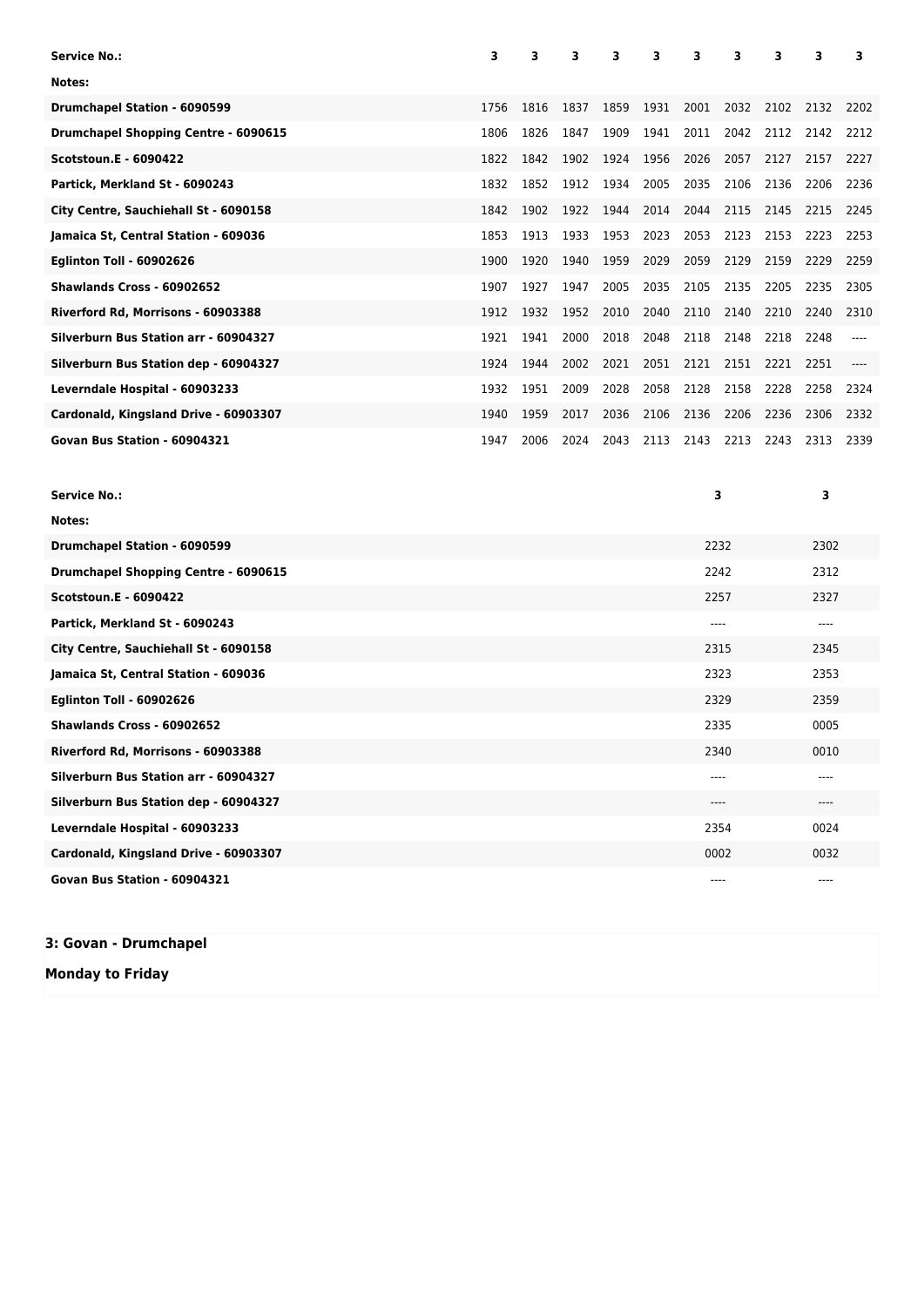| <b>Service No.:</b>                   | 3    | 3    | 3    | 3    | 3    | 3    | 3    | 3    | 3    | 3    |
|---------------------------------------|------|------|------|------|------|------|------|------|------|------|
| Notes:                                |      |      |      |      |      |      |      |      |      |      |
| <b>Drumchapel Station - 6090599</b>   | 1756 | 1816 | 1837 | 1859 | 1931 | 2001 | 2032 | 2102 | 2132 | 2202 |
| Drumchapel Shopping Centre - 6090615  | 1806 | 1826 | 1847 | 1909 | 1941 | 2011 | 2042 | 2112 | 2142 | 2212 |
| <b>Scotstoun.E - 6090422</b>          | 1822 | 1842 | 1902 | 1924 | 1956 | 2026 | 2057 | 2127 | 2157 | 2227 |
| Partick, Merkland St - 6090243        | 1832 | 1852 | 1912 | 1934 | 2005 | 2035 | 2106 | 2136 | 2206 | 2236 |
| City Centre, Sauchiehall St - 6090158 | 1842 | 1902 | 1922 | 1944 | 2014 | 2044 | 2115 | 2145 | 2215 | 2245 |
| Jamaica St, Central Station - 609036  | 1853 | 1913 | 1933 | 1953 | 2023 | 2053 | 2123 | 2153 | 2223 | 2253 |
| <b>Eglinton Toll - 60902626</b>       | 1900 | 1920 | 1940 | 1959 | 2029 | 2059 | 2129 | 2159 | 2229 | 2259 |
| Shawlands Cross - 60902652            | 1907 | 1927 | 1947 | 2005 | 2035 | 2105 | 2135 | 2205 | 2235 | 2305 |
| Riverford Rd, Morrisons - 60903388    | 1912 | 1932 | 1952 | 2010 | 2040 | 2110 | 2140 | 2210 | 2240 | 2310 |
| Silverburn Bus Station arr - 60904327 | 1921 | 1941 | 2000 | 2018 | 2048 | 2118 | 2148 | 2218 | 2248 |      |
| Silverburn Bus Station dep - 60904327 | 1924 | 1944 | 2002 | 2021 | 2051 | 2121 | 2151 | 2221 | 2251 |      |
| Leverndale Hospital - 60903233        | 1932 | 1951 | 2009 | 2028 | 2058 | 2128 | 2158 | 2228 | 2258 | 2324 |
| Cardonald, Kingsland Drive - 60903307 | 1940 | 1959 | 2017 | 2036 | 2106 | 2136 | 2206 | 2236 | 2306 | 2332 |
| Govan Bus Station - 60904321          | 1947 | 2006 | 2024 | 2043 | 2113 | 2143 | 2213 | 2243 | 2313 | 2339 |

| <b>Service No.:</b>                         | 3    | 3    |
|---------------------------------------------|------|------|
| Notes:                                      |      |      |
| Drumchapel Station - 6090599                | 2232 | 2302 |
| <b>Drumchapel Shopping Centre - 6090615</b> | 2242 | 2312 |
| <b>Scotstoun.E - 6090422</b>                | 2257 | 2327 |
| Partick, Merkland St - 6090243              | ---- | ---- |
| City Centre, Sauchiehall St - 6090158       | 2315 | 2345 |
| Jamaica St, Central Station - 609036        | 2323 | 2353 |
| <b>Eglinton Toll - 60902626</b>             | 2329 | 2359 |
| Shawlands Cross - 60902652                  | 2335 | 0005 |
| Riverford Rd, Morrisons - 60903388          | 2340 | 0010 |
| Silverburn Bus Station arr - 60904327       | ---- | ---- |
| Silverburn Bus Station dep - 60904327       | ---- | ---- |
| Leverndale Hospital - 60903233              | 2354 | 0024 |
| Cardonald, Kingsland Drive - 60903307       | 0002 | 0032 |
| Govan Bus Station - 60904321                | ---- | ---- |

## **3: Govan - Drumchapel**

**Monday to Friday**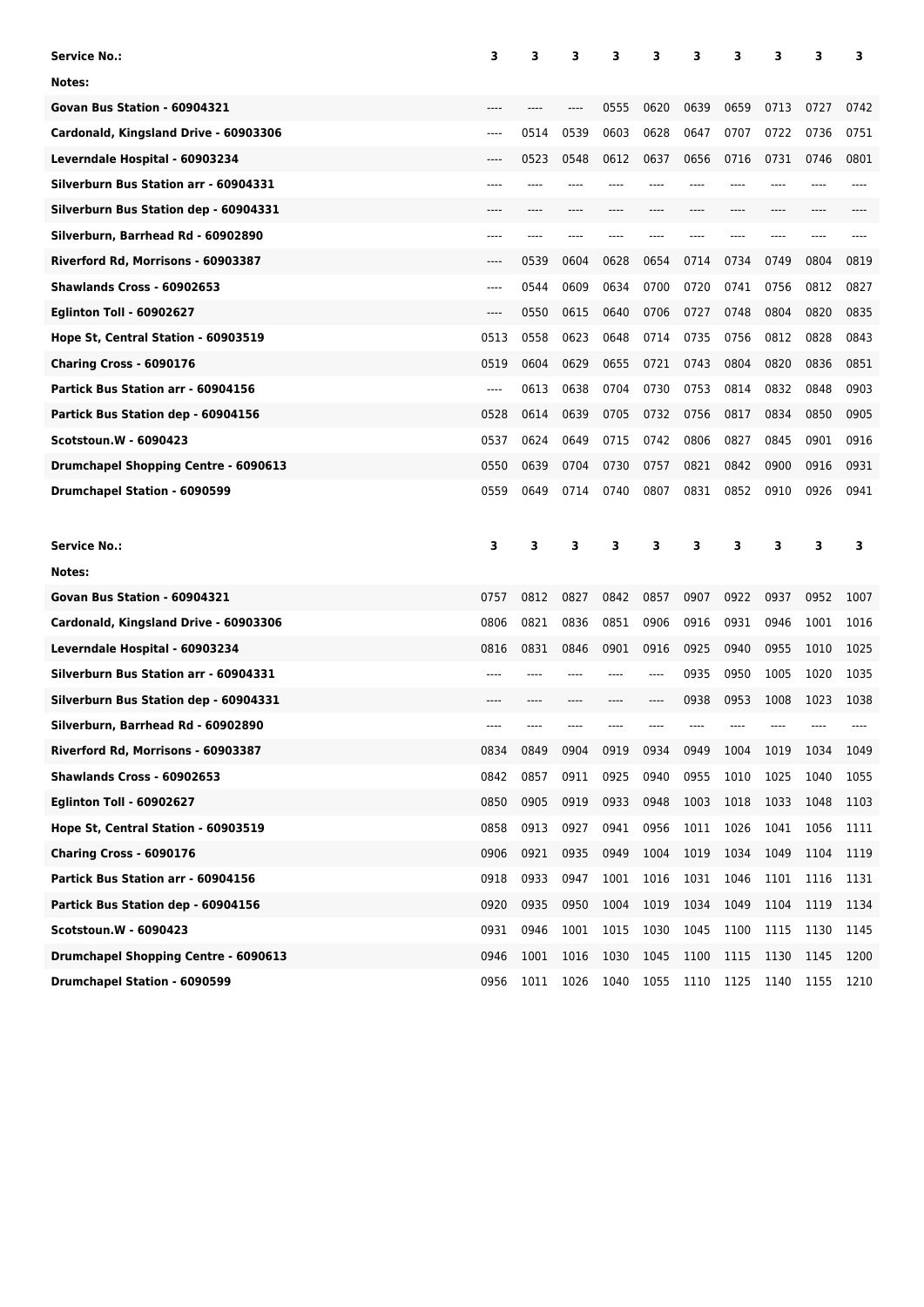| <b>Service No.:</b>                   | 3     | з    | 3    | 3    | з     | 3    | з    | з    | 3    | 3    |
|---------------------------------------|-------|------|------|------|-------|------|------|------|------|------|
| Notes:                                |       |      |      |      |       |      |      |      |      |      |
| Govan Bus Station - 60904321          |       |      |      | 0555 | 0620  | 0639 | 0659 | 0713 | 0727 | 0742 |
| Cardonald, Kingsland Drive - 60903306 | $---$ | 0514 | 0539 | 0603 | 0628  | 0647 | 0707 | 0722 | 0736 | 0751 |
| Leverndale Hospital - 60903234        | ----  | 0523 | 0548 | 0612 | 0637  | 0656 | 0716 | 0731 | 0746 | 0801 |
| Silverburn Bus Station arr - 60904331 | ----  |      |      |      |       |      |      |      |      |      |
| Silverburn Bus Station dep - 60904331 |       |      |      |      |       |      |      |      |      |      |
| Silverburn, Barrhead Rd - 60902890    | ----  |      |      |      |       |      |      |      |      |      |
| Riverford Rd, Morrisons - 60903387    | ----  | 0539 | 0604 | 0628 | 0654  | 0714 | 0734 | 0749 | 0804 | 0819 |
| Shawlands Cross - 60902653            | $---$ | 0544 | 0609 | 0634 | 0700  | 0720 | 0741 | 0756 | 0812 | 0827 |
| <b>Eglinton Toll - 60902627</b>       | ----  | 0550 | 0615 | 0640 | 0706  | 0727 | 0748 | 0804 | 0820 | 0835 |
| Hope St, Central Station - 60903519   | 0513  | 0558 | 0623 | 0648 | 0714  | 0735 | 0756 | 0812 | 0828 | 0843 |
| Charing Cross - 6090176               | 0519  | 0604 | 0629 | 0655 | 0721  | 0743 | 0804 | 0820 | 0836 | 0851 |
| Partick Bus Station arr - 60904156    | $---$ | 0613 | 0638 | 0704 | 0730  | 0753 | 0814 | 0832 | 0848 | 0903 |
| Partick Bus Station dep - 60904156    | 0528  | 0614 | 0639 | 0705 | 0732  | 0756 | 0817 | 0834 | 0850 | 0905 |
| <b>Scotstoun.W - 6090423</b>          | 0537  | 0624 | 0649 | 0715 | 0742  | 0806 | 0827 | 0845 | 0901 | 0916 |
| Drumchapel Shopping Centre - 6090613  | 0550  | 0639 | 0704 | 0730 | 0757  | 0821 | 0842 | 0900 | 0916 | 0931 |
| Drumchapel Station - 6090599          | 0559  | 0649 | 0714 | 0740 | 0807  | 0831 | 0852 | 0910 | 0926 | 0941 |
|                                       |       |      |      |      |       |      |      |      |      |      |
|                                       |       |      |      |      |       |      |      |      |      |      |
| <b>Service No.:</b>                   | 3     | 3    | 3    | 3    | 3     | з    | 3    | 3    | 3    | 3    |
| Notes:                                |       |      |      |      |       |      |      |      |      |      |
| Govan Bus Station - 60904321          | 0757  | 0812 | 0827 | 0842 | 0857  | 0907 | 0922 | 0937 | 0952 | 1007 |
| Cardonald, Kingsland Drive - 60903306 | 0806  | 0821 | 0836 | 0851 | 0906  | 0916 | 0931 | 0946 | 1001 | 1016 |
| Leverndale Hospital - 60903234        | 0816  | 0831 | 0846 | 0901 | 0916  | 0925 | 0940 | 0955 | 1010 | 1025 |
| Silverburn Bus Station arr - 60904331 |       |      |      |      | $---$ | 0935 | 0950 | 1005 | 1020 | 1035 |
| Silverburn Bus Station dep - 60904331 |       |      |      |      |       | 0938 | 0953 | 1008 | 1023 | 1038 |
| Silverburn, Barrhead Rd - 60902890    | ----  |      |      |      |       |      |      |      |      |      |
| Riverford Rd, Morrisons - 60903387    | 0834  | 0849 | 0904 | 0919 | 0934  | 0949 | 1004 | 1019 | 1034 | 1049 |
| Shawlands Cross - 60902653            | 0842  | 0857 | 0911 | 0925 | 0940  | 0955 | 1010 | 1025 | 1040 | 1055 |
| <b>Eglinton Toll - 60902627</b>       | 0850  | 0905 | 0919 | 0933 | 0948  | 1003 | 1018 | 1033 | 1048 | 1103 |
| Hope St, Central Station - 60903519   | 0858  | 0913 | 0927 | 0941 | 0956  | 1011 | 1026 | 1041 | 1056 | 1111 |
| Charing Cross - 6090176               | 0906  | 0921 | 0935 | 0949 | 1004  | 1019 | 1034 | 1049 | 1104 | 1119 |
| Partick Bus Station arr - 60904156    | 0918  | 0933 | 0947 | 1001 | 1016  | 1031 | 1046 | 1101 | 1116 | 1131 |
| Partick Bus Station dep - 60904156    | 0920  | 0935 | 0950 | 1004 | 1019  | 1034 | 1049 | 1104 | 1119 | 1134 |
| Scotstoun.W - 6090423                 | 0931  | 0946 | 1001 | 1015 | 1030  | 1045 | 1100 | 1115 | 1130 | 1145 |
| Drumchapel Shopping Centre - 6090613  | 0946  | 1001 | 1016 | 1030 | 1045  | 1100 | 1115 | 1130 | 1145 | 1200 |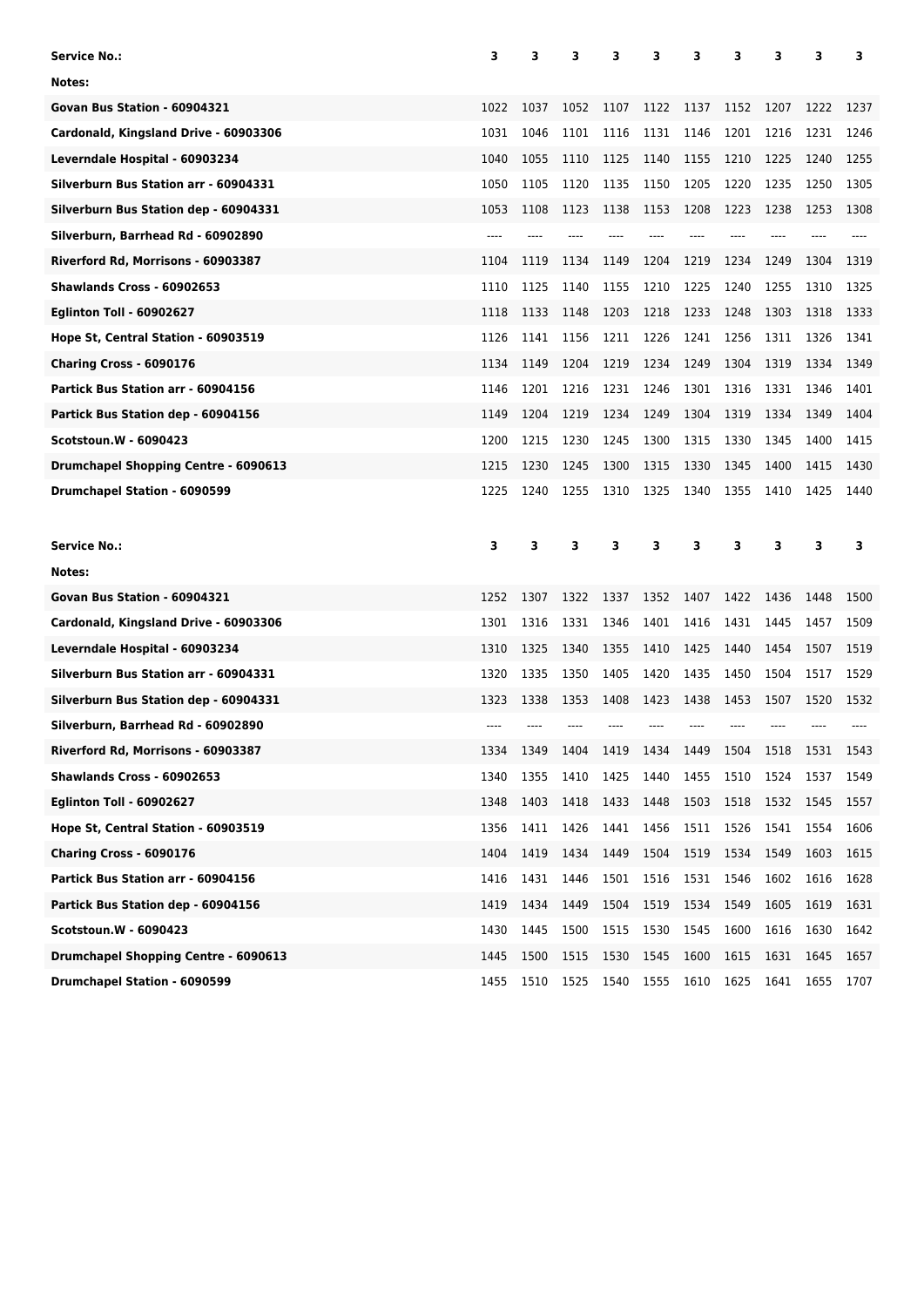| Service No.:                          | 3     | з    | 3    | 3    | 3    | 3    | 3    | 3    | 3    | з    |
|---------------------------------------|-------|------|------|------|------|------|------|------|------|------|
| Notes:                                |       |      |      |      |      |      |      |      |      |      |
| Govan Bus Station - 60904321          | 1022  | 1037 | 1052 | 1107 | 1122 | 1137 | 1152 | 1207 | 1222 | 1237 |
| Cardonald, Kingsland Drive - 60903306 | 1031  | 1046 | 1101 | 1116 | 1131 | 1146 | 1201 | 1216 | 1231 | 1246 |
| Leverndale Hospital - 60903234        | 1040  | 1055 | 1110 | 1125 | 1140 | 1155 | 1210 | 1225 | 1240 | 1255 |
| Silverburn Bus Station arr - 60904331 | 1050  | 1105 | 1120 | 1135 | 1150 | 1205 | 1220 | 1235 | 1250 | 1305 |
| Silverburn Bus Station dep - 60904331 | 1053  | 1108 | 1123 | 1138 | 1153 | 1208 | 1223 | 1238 | 1253 | 1308 |
| Silverburn, Barrhead Rd - 60902890    | $---$ |      |      |      |      |      |      |      |      |      |
| Riverford Rd, Morrisons - 60903387    | 1104  | 1119 | 1134 | 1149 | 1204 | 1219 | 1234 | 1249 | 1304 | 1319 |
| Shawlands Cross - 60902653            | 1110  | 1125 | 1140 | 1155 | 1210 | 1225 | 1240 | 1255 | 1310 | 1325 |
| <b>Eglinton Toll - 60902627</b>       | 1118  | 1133 | 1148 | 1203 | 1218 | 1233 | 1248 | 1303 | 1318 | 1333 |
| Hope St, Central Station - 60903519   | 1126  | 1141 | 1156 | 1211 | 1226 | 1241 | 1256 | 1311 | 1326 | 1341 |
| Charing Cross - 6090176               | 1134  | 1149 | 1204 | 1219 | 1234 | 1249 | 1304 | 1319 | 1334 | 1349 |
| Partick Bus Station arr - 60904156    | 1146  | 1201 | 1216 | 1231 | 1246 | 1301 | 1316 | 1331 | 1346 | 1401 |
| Partick Bus Station dep - 60904156    | 1149  | 1204 | 1219 | 1234 | 1249 | 1304 | 1319 | 1334 | 1349 | 1404 |
| <b>Scotstoun.W - 6090423</b>          | 1200  | 1215 | 1230 | 1245 | 1300 | 1315 | 1330 | 1345 | 1400 | 1415 |
| Drumchapel Shopping Centre - 6090613  | 1215  | 1230 | 1245 | 1300 | 1315 | 1330 | 1345 | 1400 | 1415 | 1430 |
| <b>Drumchapel Station - 6090599</b>   | 1225  | 1240 | 1255 | 1310 | 1325 | 1340 | 1355 | 1410 | 1425 | 1440 |
|                                       |       |      |      |      |      |      |      |      |      |      |
| <b>Service No.:</b>                   | 3     | 3    | 3    | 3    | 3    | з    | 3    | 3    | 3    | 3    |
| Notes:                                |       |      |      |      |      |      |      |      |      |      |
| Govan Bus Station - 60904321          | 1252  | 1307 | 1322 | 1337 | 1352 | 1407 | 1422 | 1436 | 1448 | 1500 |
| Cardonald, Kingsland Drive - 60903306 | 1301  | 1316 | 1331 | 1346 | 1401 | 1416 | 1431 | 1445 | 1457 | 1509 |
| Leverndale Hospital - 60903234        | 1310  | 1325 | 1340 | 1355 | 1410 | 1425 | 1440 | 1454 | 1507 | 1519 |
| Silverburn Bus Station arr - 60904331 | 1320  | 1335 | 1350 | 1405 | 1420 | 1435 | 1450 | 1504 | 1517 | 1529 |
| Silverburn Bus Station dep - 60904331 | 1323  | 1338 | 1353 | 1408 | 1423 | 1438 | 1453 | 1507 | 1520 | 1532 |
| Silverburn, Barrhead Rd - 60902890    |       |      |      |      |      |      |      |      |      |      |
| Riverford Rd, Morrisons - 60903387    | 1334  | 1349 | 1404 | 1419 | 1434 | 1449 | 1504 | 1518 | 1531 | 1543 |
| Shawlands Cross - 60902653            | 1340  | 1355 | 1410 | 1425 | 1440 | 1455 | 1510 | 1524 | 1537 | 1549 |
| <b>Eglinton Toll - 60902627</b>       | 1348  | 1403 | 1418 | 1433 | 1448 | 1503 | 1518 | 1532 | 1545 | 1557 |
| Hope St, Central Station - 60903519   | 1356  | 1411 | 1426 | 1441 | 1456 | 1511 | 1526 | 1541 | 1554 | 1606 |
| Charing Cross - 6090176               | 1404  | 1419 | 1434 | 1449 | 1504 | 1519 | 1534 | 1549 | 1603 | 1615 |
| Partick Bus Station arr - 60904156    | 1416  | 1431 | 1446 | 1501 | 1516 | 1531 | 1546 | 1602 | 1616 | 1628 |
| Partick Bus Station dep - 60904156    | 1419  | 1434 | 1449 | 1504 | 1519 | 1534 | 1549 | 1605 | 1619 | 1631 |
| Scotstoun.W - 6090423                 | 1430  | 1445 | 1500 | 1515 | 1530 | 1545 | 1600 | 1616 | 1630 | 1642 |
| Drumchapel Shopping Centre - 6090613  | 1445  | 1500 | 1515 | 1530 | 1545 | 1600 | 1615 | 1631 | 1645 | 1657 |